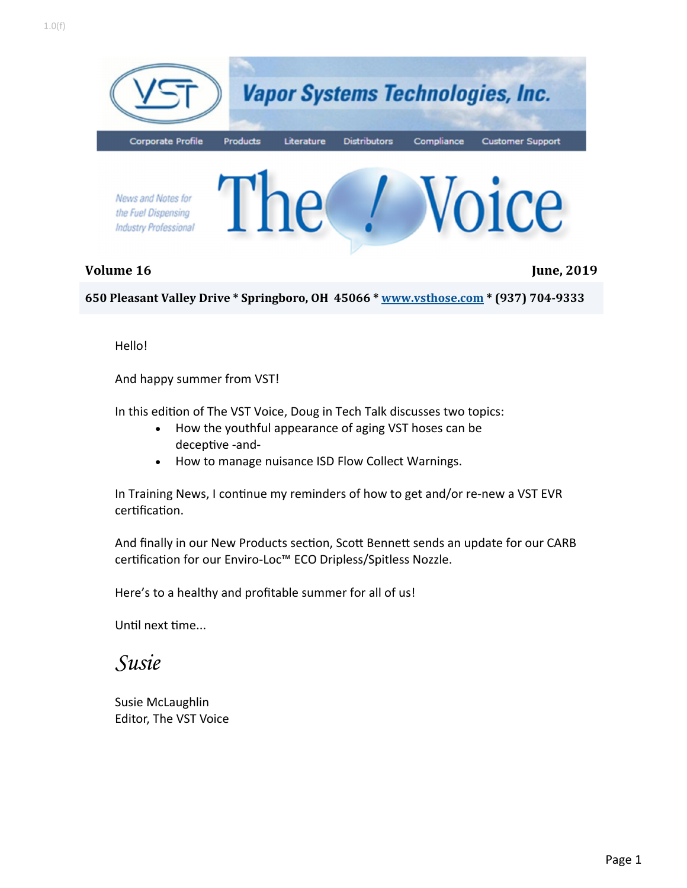

**Volume 16 June, 2019**

**650 Pleasant Valley Drive \* Springboro, OH 45066 \* www.vsthose.com \* (937) 704‐9333**

Hello!

And happy summer from VST!

In this edition of The VST Voice, Doug in Tech Talk discusses two topics:

- How the youthful appearance of aging VST hoses can be deceptive -and-
- How to manage nuisance ISD Flow Collect Warnings.

In Training News, I continue my reminders of how to get and/or re-new a VST EVR certification.

And finally in our New Products section, Scott Bennett sends an update for our CARB certification for our Enviro-Loc™ ECO Dripless/Spitless Nozzle.

Here's to a healthy and profitable summer for all of us!

Until next time...

### *Susie*

Susie McLaughlin Editor, The VST Voice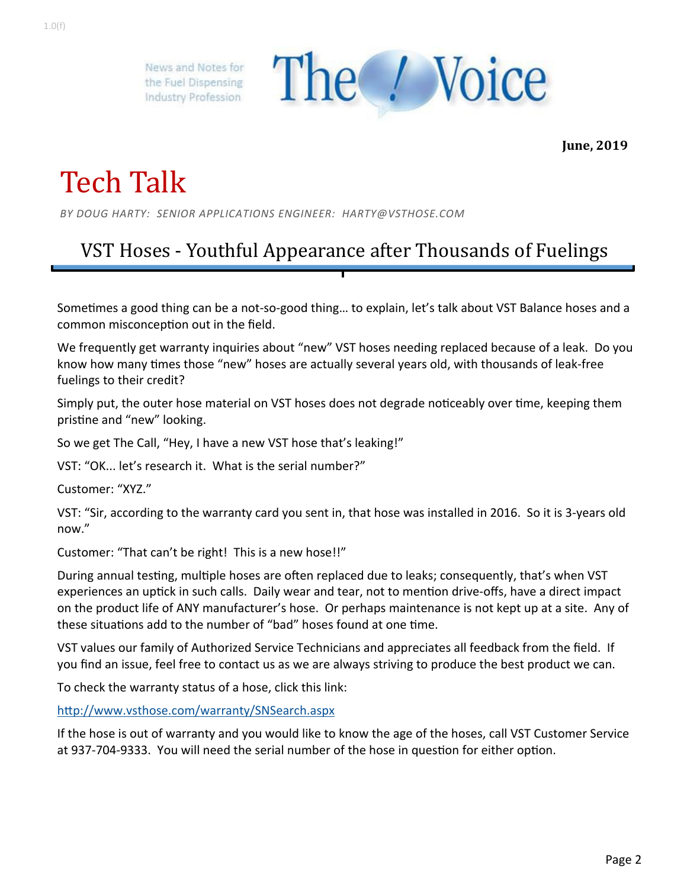

**June, 2019**

# Tech Talk

*BY DOUG HARTY: SENIOR APPLICATIONS ENGINEER: HARTY@VSTHOSE.COM* 

## VST Hoses - Youthful Appearance after Thousands of Fuelings

Sometimes a good thing can be a not-so-good thing... to explain, let's talk about VST Balance hoses and a common misconception out in the field.

We frequently get warranty inquiries about "new" VST hoses needing replaced because of a leak. Do you know how many times those "new" hoses are actually several years old, with thousands of leak-free fuelings to their credit?

Simply put, the outer hose material on VST hoses does not degrade noticeably over time, keeping them pristine and "new" looking.

So we get The Call, "Hey, I have a new VST hose that's leaking!"

VST: "OK... let's research it. What is the serial number?"

Customer: "XYZ."

VST: "Sir, according to the warranty card you sent in, that hose was installed in 2016. So it is 3‐years old now."

Customer: "That can't be right! This is a new hose!!"

During annual testing, multiple hoses are often replaced due to leaks; consequently, that's when VST experiences an uptick in such calls. Daily wear and tear, not to mention drive-offs, have a direct impact on the product life of ANY manufacturer's hose. Or perhaps maintenance is not kept up at a site. Any of these situations add to the number of "bad" hoses found at one time.

VST values our family of Authorized Service Technicians and appreciates all feedback from the field. If you find an issue, feel free to contact us as we are always striving to produce the best product we can.

To check the warranty status of a hose, click this link:

http://www.vsthose.com/warranty/SNSearch.aspx

If the hose is out of warranty and you would like to know the age of the hoses, call VST Customer Service at 937-704-9333. You will need the serial number of the hose in question for either option.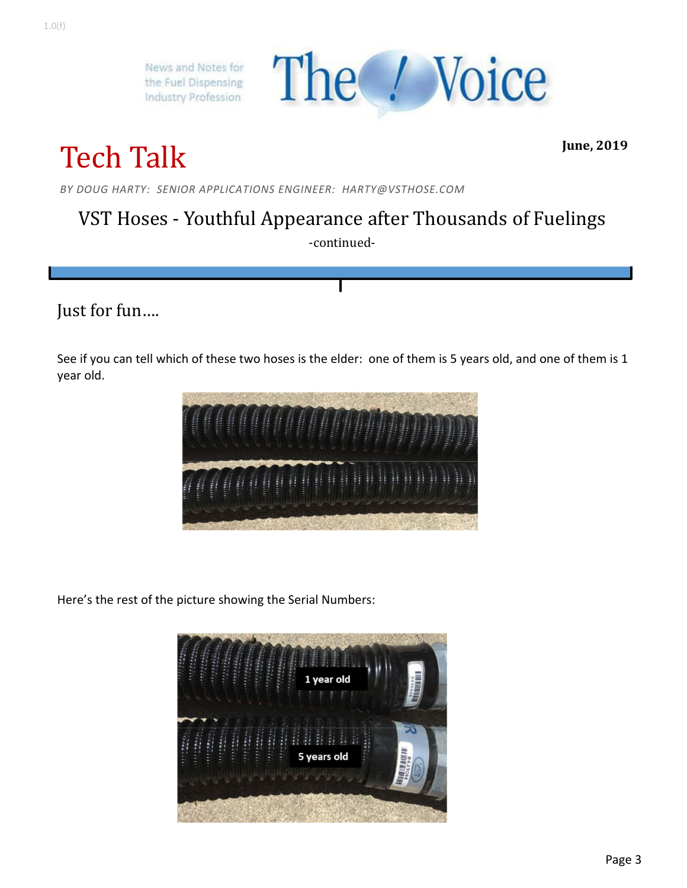

# Tech Talk

**June, 2019**

*BY DOUG HARTY: SENIOR APPLICATIONS ENGINEER: HARTY@VSTHOSE.COM* 

## VST Hoses - Youthful Appearance after Thousands of Fuelings

-continued-

### Just for fun….

See if you can tell which of these two hoses is the elder: one of them is 5 years old, and one of them is 1 year old.



Here's the rest of the picture showing the Serial Numbers:

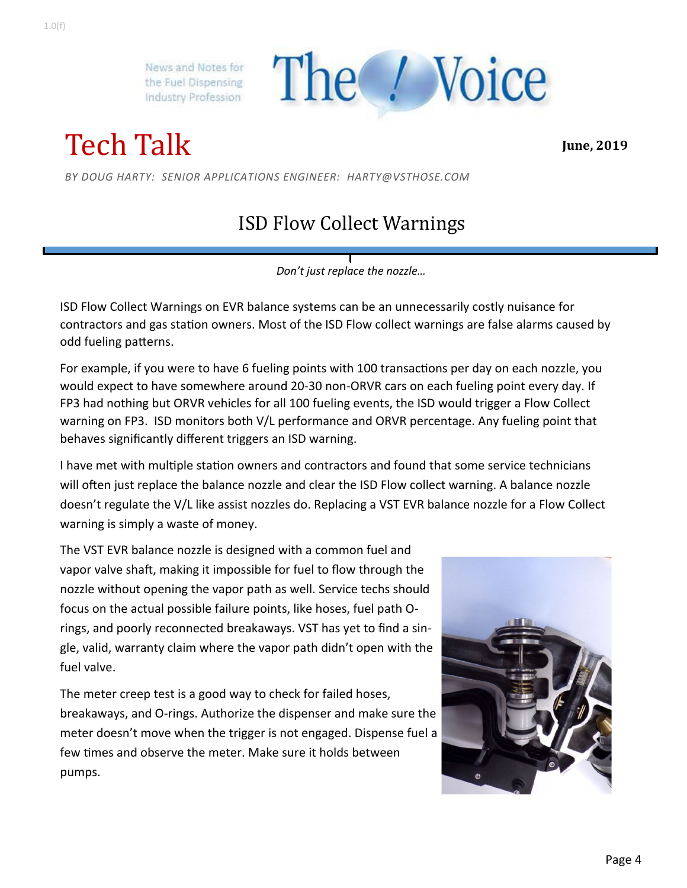The / Voice

Tech Talk

**June, 2019**

*BY DOUG HARTY: SENIOR APPLICATIONS ENGINEER: HARTY@VSTHOSE.COM* 

## ISD Flow Collect Warnings

*Don't just replace the nozzle…* 

ISD Flow Collect Warnings on EVR balance systems can be an unnecessarily costly nuisance for contractors and gas station owners. Most of the ISD Flow collect warnings are false alarms caused by odd fueling patterns.

For example, if you were to have 6 fueling points with 100 transactions per day on each nozzle, you would expect to have somewhere around 20‐30 non‐ORVR cars on each fueling point every day. If FP3 had nothing but ORVR vehicles for all 100 fueling events, the ISD would trigger a Flow Collect warning on FP3. ISD monitors both V/L performance and ORVR percentage. Any fueling point that behaves significantly different triggers an ISD warning.

I have met with multiple station owners and contractors and found that some service technicians will often just replace the balance nozzle and clear the ISD Flow collect warning. A balance nozzle doesn't regulate the V/L like assist nozzles do. Replacing a VST EVR balance nozzle for a Flow Collect warning is simply a waste of money.

The VST EVR balance nozzle is designed with a common fuel and vapor valve shaft, making it impossible for fuel to flow through the nozzle without opening the vapor path as well. Service techs should focus on the actual possible failure points, like hoses, fuel path O‐ rings, and poorly reconnected breakaways. VST has yet to find a sin‐ gle, valid, warranty claim where the vapor path didn't open with the fuel valve.

The meter creep test is a good way to check for failed hoses, breakaways, and O‐rings. Authorize the dispenser and make sure the meter doesn't move when the trigger is not engaged. Dispense fuel a few times and observe the meter. Make sure it holds between pumps.

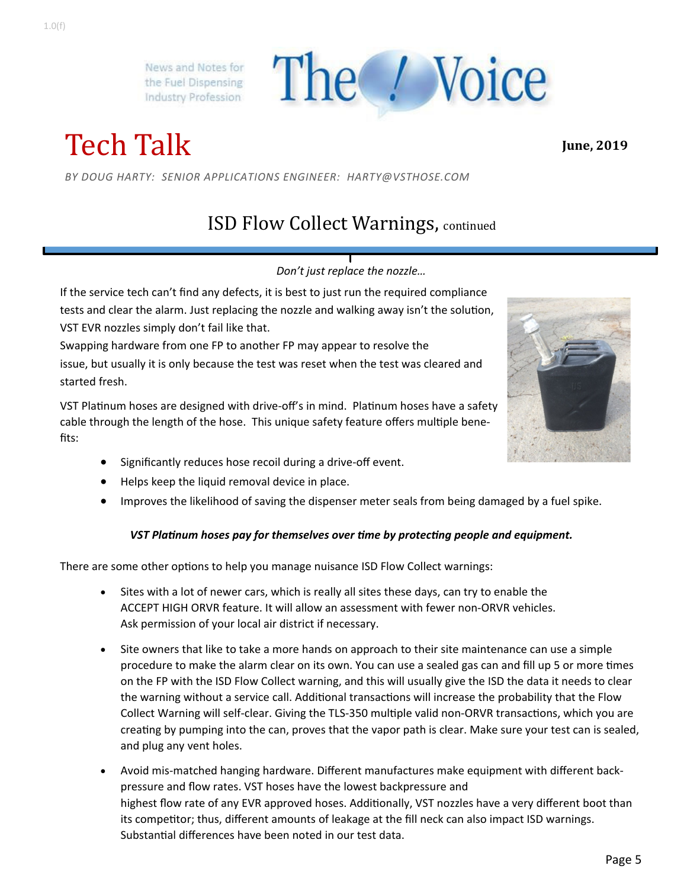Tech Talk

*BY DOUG HARTY: SENIOR APPLICATIONS ENGINEER: HARTY@VSTHOSE.COM* 

## ISD Flow Collect Warnings, continued

The / Voice

#### *Don't just replace the nozzle…*

If the service tech can't find any defects, it is best to just run the required compliance tests and clear the alarm. Just replacing the nozzle and walking away isn't the solution, VST EVR nozzles simply don't fail like that.

Swapping hardware from one FP to another FP may appear to resolve the issue, but usually it is only because the test was reset when the test was cleared and started fresh.

VST Platinum hoses are designed with drive-off's in mind. Platinum hoses have a safety cable through the length of the hose. This unique safety feature offers multiple benefits:

- Significantly reduces hose recoil during a drive-off event.
- Helps keep the liquid removal device in place.
- Improves the likelihood of saving the dispenser meter seals from being damaged by a fuel spike.

#### *VST Platinum hoses pay for themselves over time by protecting people and equipment.*

There are some other options to help you manage nuisance ISD Flow Collect warnings:

- Sites with a lot of newer cars, which is really all sites these days, can try to enable the ACCEPT HIGH ORVR feature. It will allow an assessment with fewer non‐ORVR vehicles. Ask permission of your local air district if necessary.
- Site owners that like to take a more hands on approach to their site maintenance can use a simple procedure to make the alarm clear on its own. You can use a sealed gas can and fill up 5 or more times on the FP with the ISD Flow Collect warning, and this will usually give the ISD the data it needs to clear the warning without a service call. Additional transactions will increase the probability that the Flow Collect Warning will self-clear. Giving the TLS-350 multiple valid non-ORVR transactions, which you are creating by pumping into the can, proves that the vapor path is clear. Make sure your test can is sealed, and plug any vent holes.
- Avoid mis‐matched hanging hardware. Different manufactures make equipment with different back‐ pressure and flow rates. VST hoses have the lowest backpressure and highest flow rate of any EVR approved hoses. Additionally, VST nozzles have a very different boot than its competitor; thus, different amounts of leakage at the fill neck can also impact ISD warnings. Substantial differences have been noted in our test data.



**June, 2019**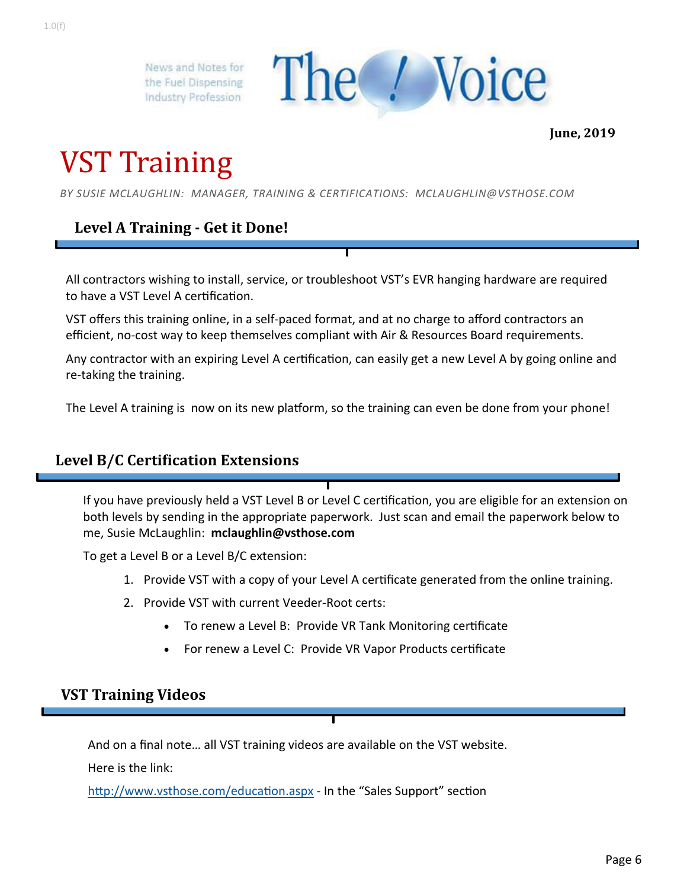

**June, 2019**

## VST Training

*BY SUSIE MCLAUGHLIN: MANAGER, TRAINING & CERTIFICATIONS: MCLAUGHLIN@VSTHOSE.COM* 

### **Level A Training ‐ Get it Done!**

All contractors wishing to install, service, or troubleshoot VST's EVR hanging hardware are required to have a VST Level A certification.

VST offers this training online, in a self‐paced format, and at no charge to afford contractors an efficient, no-cost way to keep themselves compliant with Air & Resources Board requirements.

Any contractor with an expiring Level A certification, can easily get a new Level A by going online and re‐taking the training.

The Level A training is now on its new platform, so the training can even be done from your phone!

#### **Level B/C Certification Extensions**

If you have previously held a VST Level B or Level C certification, you are eligible for an extension on both levels by sending in the appropriate paperwork. Just scan and email the paperwork below to me, Susie McLaughlin: **mclaughlin@vsthose.com**

To get a Level B or a Level B/C extension:

- 1. Provide VST with a copy of your Level A certificate generated from the online training.
- 2. Provide VST with current Veeder‐Root certs:
	- To renew a Level B: Provide VR Tank Monitoring certificate
	- For renew a Level C: Provide VR Vapor Products certificate

#### **VST Training Videos**

And on a final note… all VST training videos are available on the VST website.

Here is the link:

http://www.vsthose.com/education.aspx - In the "Sales Support" section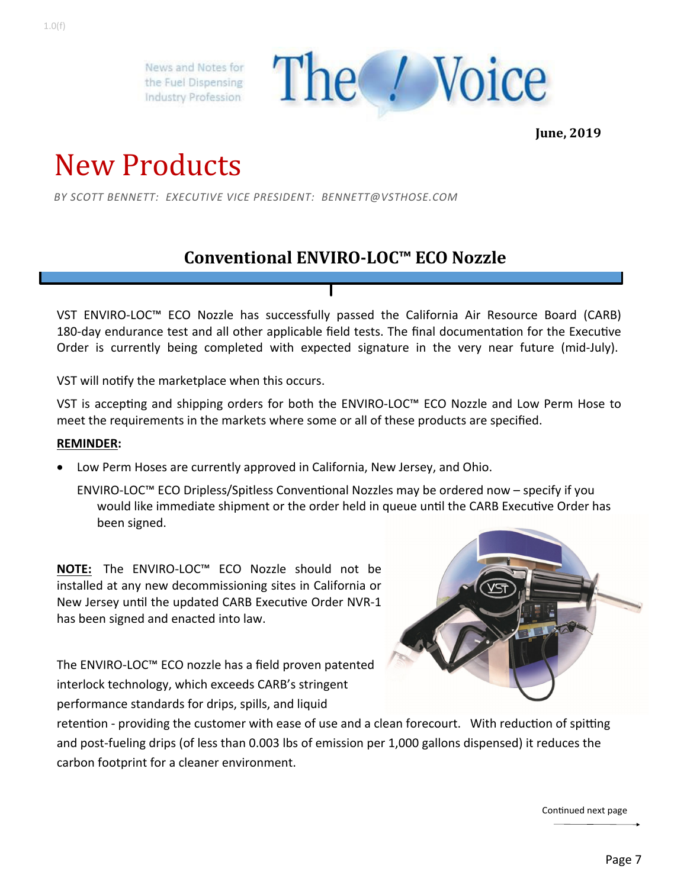

**June, 2019**

## New Products

*BY SCOTT BENNETT: EXECUTIVE VICE PRESIDENT: BENNETT@VSTHOSE.COM* 

### **Conventional ENVIRO‐LOC™ ECO Nozzle**

VST ENVIRO‐LOC™ ECO Nozzle has successfully passed the California Air Resource Board (CARB) 180-day endurance test and all other applicable field tests. The final documentation for the Executive Order is currently being completed with expected signature in the very near future (mid-July).

VST will notify the marketplace when this occurs.

VST is accepting and shipping orders for both the ENVIRO-LOC™ ECO Nozzle and Low Perm Hose to meet the requirements in the markets where some or all of these products are specified.

#### **REMINDER:**

Low Perm Hoses are currently approved in California, New Jersey, and Ohio.

ENVIRO-LOC™ ECO Dripless/Spitless Conventional Nozzles may be ordered now – specify if you would like immediate shipment or the order held in queue until the CARB Executive Order has been signed.

**NOTE:** The ENVIRO‐LOC™ ECO Nozzle should not be installed at any new decommissioning sites in California or New Jersey until the updated CARB Executive Order NVR-1 has been signed and enacted into law.

The ENVIRO‐LOC™ ECO nozzle has a field proven patented interlock technology, which exceeds CARB's stringent performance standards for drips, spills, and liquid



retention - providing the customer with ease of use and a clean forecourt. With reduction of spitting and post-fueling drips (of less than 0.003 lbs of emission per 1,000 gallons dispensed) it reduces the carbon footprint for a cleaner environment.

Continued next page